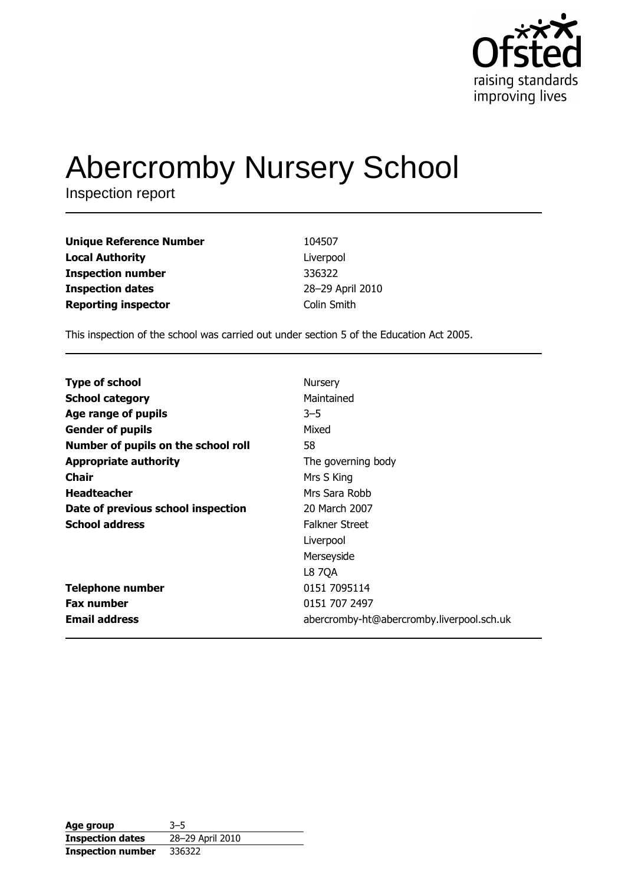

# **Abercromby Nursery School**

Inspection report

| <b>Unique Reference Number</b> | 104507           |
|--------------------------------|------------------|
| <b>Local Authority</b>         | Liverpool        |
| <b>Inspection number</b>       | 336322           |
| <b>Inspection dates</b>        | 28-29 April 2010 |
| <b>Reporting inspector</b>     | Colin Smith      |

This inspection of the school was carried out under section 5 of the Education Act 2005.

| <b>Type of school</b>               | Nursery                                   |
|-------------------------------------|-------------------------------------------|
| <b>School category</b>              | Maintained                                |
| Age range of pupils                 | $3 - 5$                                   |
| <b>Gender of pupils</b>             | Mixed                                     |
| Number of pupils on the school roll | 58                                        |
| <b>Appropriate authority</b>        | The governing body                        |
| Chair                               | Mrs S King                                |
| <b>Headteacher</b>                  | Mrs Sara Robb                             |
| Date of previous school inspection  | 20 March 2007                             |
| <b>School address</b>               | <b>Falkner Street</b>                     |
|                                     | Liverpool                                 |
|                                     | Merseyside                                |
|                                     | L8 7QA                                    |
| <b>Telephone number</b>             | 0151 7095114                              |
| <b>Fax number</b>                   | 0151 707 2497                             |
| <b>Email address</b>                | abercromby-ht@abercromby.liverpool.sch.uk |

| Age group                | $3 - 5$          |
|--------------------------|------------------|
| <b>Inspection dates</b>  | 28-29 April 2010 |
| <b>Inspection number</b> | 336322           |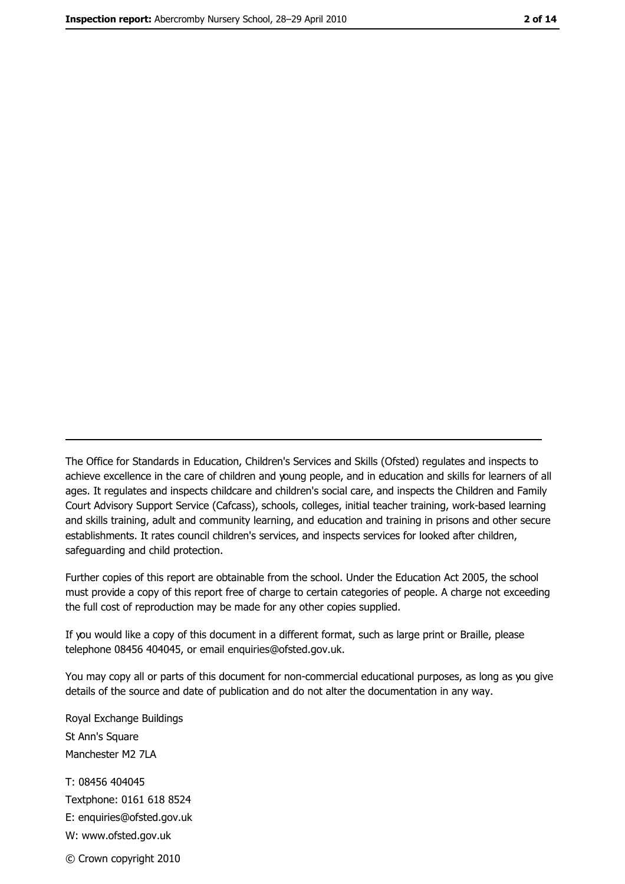The Office for Standards in Education, Children's Services and Skills (Ofsted) regulates and inspects to achieve excellence in the care of children and young people, and in education and skills for learners of all ages. It regulates and inspects childcare and children's social care, and inspects the Children and Family Court Advisory Support Service (Cafcass), schools, colleges, initial teacher training, work-based learning and skills training, adult and community learning, and education and training in prisons and other secure establishments. It rates council children's services, and inspects services for looked after children, safequarding and child protection.

Further copies of this report are obtainable from the school. Under the Education Act 2005, the school must provide a copy of this report free of charge to certain categories of people. A charge not exceeding the full cost of reproduction may be made for any other copies supplied.

If you would like a copy of this document in a different format, such as large print or Braille, please telephone 08456 404045, or email enquiries@ofsted.gov.uk.

You may copy all or parts of this document for non-commercial educational purposes, as long as you give details of the source and date of publication and do not alter the documentation in any way.

Royal Exchange Buildings St Ann's Square Manchester M2 7LA T: 08456 404045 Textphone: 0161 618 8524 E: enquiries@ofsted.gov.uk W: www.ofsted.gov.uk © Crown copyright 2010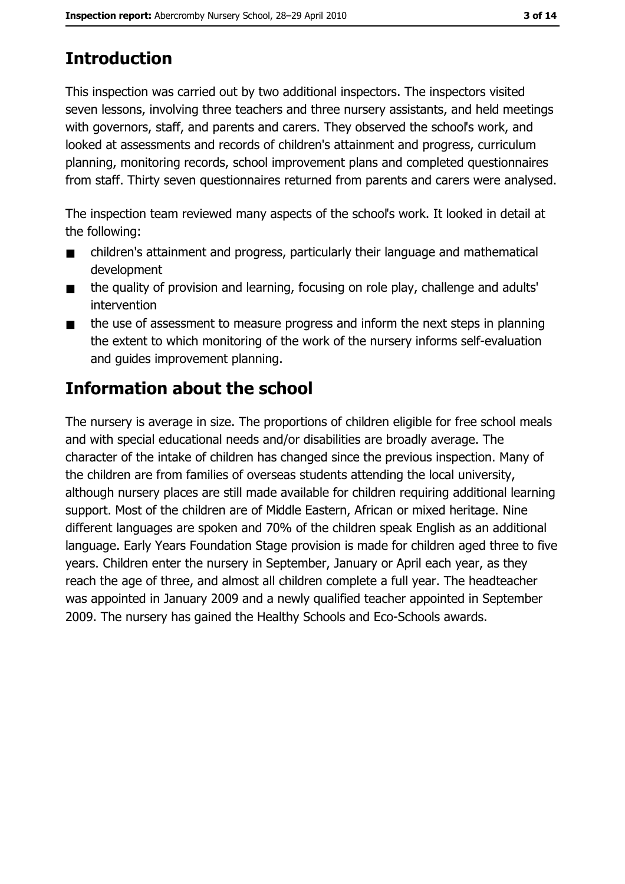# **Introduction**

This inspection was carried out by two additional inspectors. The inspectors visited seven lessons, involving three teachers and three nursery assistants, and held meetings with governors, staff, and parents and carers. They observed the school's work, and looked at assessments and records of children's attainment and progress, curriculum planning, monitoring records, school improvement plans and completed questionnaires from staff. Thirty seven questionnaires returned from parents and carers were analysed.

The inspection team reviewed many aspects of the school's work. It looked in detail at the following:

- children's attainment and progress, particularly their language and mathematical  $\blacksquare$ development
- the quality of provision and learning, focusing on role play, challenge and adults'  $\blacksquare$ intervention
- the use of assessment to measure progress and inform the next steps in planning  $\blacksquare$ the extent to which monitoring of the work of the nursery informs self-evaluation and guides improvement planning.

## **Information about the school**

The nursery is average in size. The proportions of children eligible for free school meals and with special educational needs and/or disabilities are broadly average. The character of the intake of children has changed since the previous inspection. Many of the children are from families of overseas students attending the local university, although nursery places are still made available for children requiring additional learning support. Most of the children are of Middle Eastern, African or mixed heritage. Nine different languages are spoken and 70% of the children speak English as an additional language. Early Years Foundation Stage provision is made for children aged three to five years. Children enter the nursery in September, January or April each year, as they reach the age of three, and almost all children complete a full year. The headteacher was appointed in January 2009 and a newly qualified teacher appointed in September 2009. The nursery has gained the Healthy Schools and Eco-Schools awards.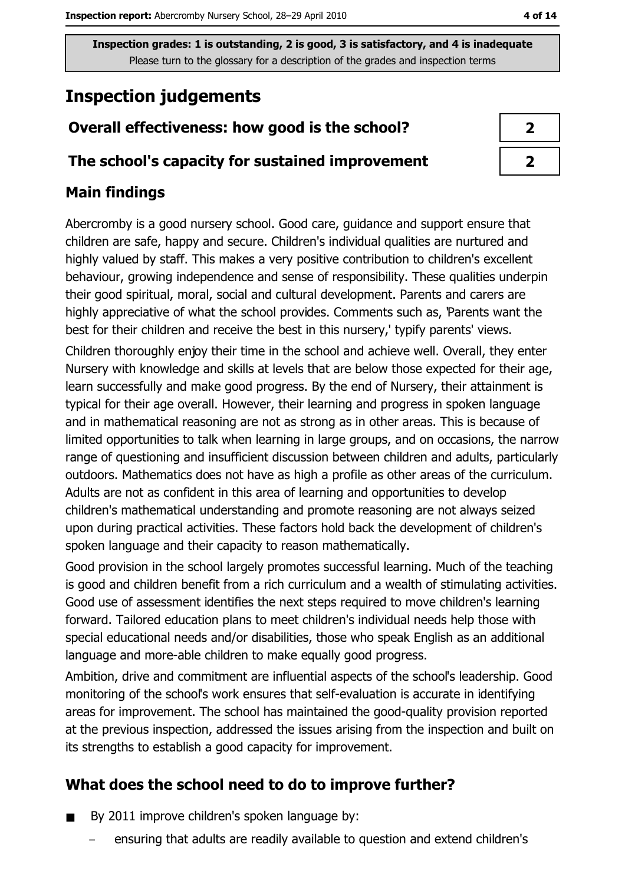## **Inspection judgements**

## Overall effectiveness: how good is the school?

#### The school's capacity for sustained improvement

## **Main findings**

Abercromby is a good nursery school. Good care, guidance and support ensure that children are safe, happy and secure. Children's individual qualities are nurtured and highly valued by staff. This makes a very positive contribution to children's excellent behaviour, growing independence and sense of responsibility. These qualities underpin their good spiritual, moral, social and cultural development. Parents and carers are highly appreciative of what the school provides. Comments such as, 'Parents want the best for their children and receive the best in this nursery,' typify parents' views.

Children thoroughly enjoy their time in the school and achieve well. Overall, they enter Nursery with knowledge and skills at levels that are below those expected for their age, learn successfully and make good progress. By the end of Nursery, their attainment is typical for their age overall. However, their learning and progress in spoken language and in mathematical reasoning are not as strong as in other areas. This is because of limited opportunities to talk when learning in large groups, and on occasions, the narrow range of questioning and insufficient discussion between children and adults, particularly outdoors. Mathematics does not have as high a profile as other areas of the curriculum. Adults are not as confident in this area of learning and opportunities to develop children's mathematical understanding and promote reasoning are not always seized upon during practical activities. These factors hold back the development of children's spoken language and their capacity to reason mathematically.

Good provision in the school largely promotes successful learning. Much of the teaching is good and children benefit from a rich curriculum and a wealth of stimulating activities. Good use of assessment identifies the next steps required to move children's learning forward. Tailored education plans to meet children's individual needs help those with special educational needs and/or disabilities, those who speak English as an additional language and more-able children to make equally good progress.

Ambition, drive and commitment are influential aspects of the school's leadership. Good monitoring of the school's work ensures that self-evaluation is accurate in identifying areas for improvement. The school has maintained the good-quality provision reported at the previous inspection, addressed the issues arising from the inspection and built on its strengths to establish a good capacity for improvement.

### What does the school need to do to improve further?

- By 2011 improve children's spoken language by:
	- ensuring that adults are readily available to question and extend children's

4 of 14

| 2                      |
|------------------------|
| $\boldsymbol{\lambda}$ |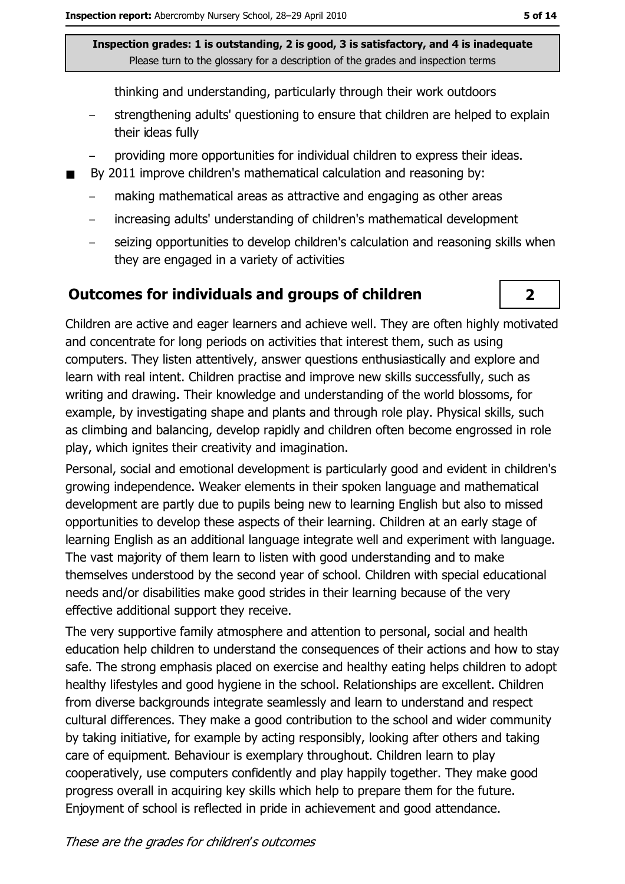thinking and understanding, particularly through their work outdoors

- strengthening adults' questioning to ensure that children are helped to explain their ideas fully
- providing more opportunities for individual children to express their ideas.
- By 2011 improve children's mathematical calculation and reasoning by:
	- making mathematical areas as attractive and engaging as other areas  $\overline{\phantom{a}}$
	- increasing adults' understanding of children's mathematical development
	- seizing opportunities to develop children's calculation and reasoning skills when  $\overline{\phantom{m}}$ they are engaged in a variety of activities

#### Outcomes for individuals and groups of children



Children are active and eager learners and achieve well. They are often highly motivated and concentrate for long periods on activities that interest them, such as using computers. They listen attentively, answer questions enthusiastically and explore and learn with real intent. Children practise and improve new skills successfully, such as writing and drawing. Their knowledge and understanding of the world blossoms, for example, by investigating shape and plants and through role play. Physical skills, such as climbing and balancing, develop rapidly and children often become engrossed in role play, which ignites their creativity and imagination.

Personal, social and emotional development is particularly good and evident in children's growing independence. Weaker elements in their spoken language and mathematical development are partly due to pupils being new to learning English but also to missed opportunities to develop these aspects of their learning. Children at an early stage of learning English as an additional language integrate well and experiment with language. The vast majority of them learn to listen with good understanding and to make themselves understood by the second year of school. Children with special educational needs and/or disabilities make good strides in their learning because of the very effective additional support they receive.

The very supportive family atmosphere and attention to personal, social and health education help children to understand the consequences of their actions and how to stay safe. The strong emphasis placed on exercise and healthy eating helps children to adopt healthy lifestyles and good hygiene in the school. Relationships are excellent. Children from diverse backgrounds integrate seamlessly and learn to understand and respect cultural differences. They make a good contribution to the school and wider community by taking initiative, for example by acting responsibly, looking after others and taking care of equipment. Behaviour is exemplary throughout. Children learn to play cooperatively, use computers confidently and play happily together. They make good progress overall in acquiring key skills which help to prepare them for the future. Enjoyment of school is reflected in pride in achievement and good attendance.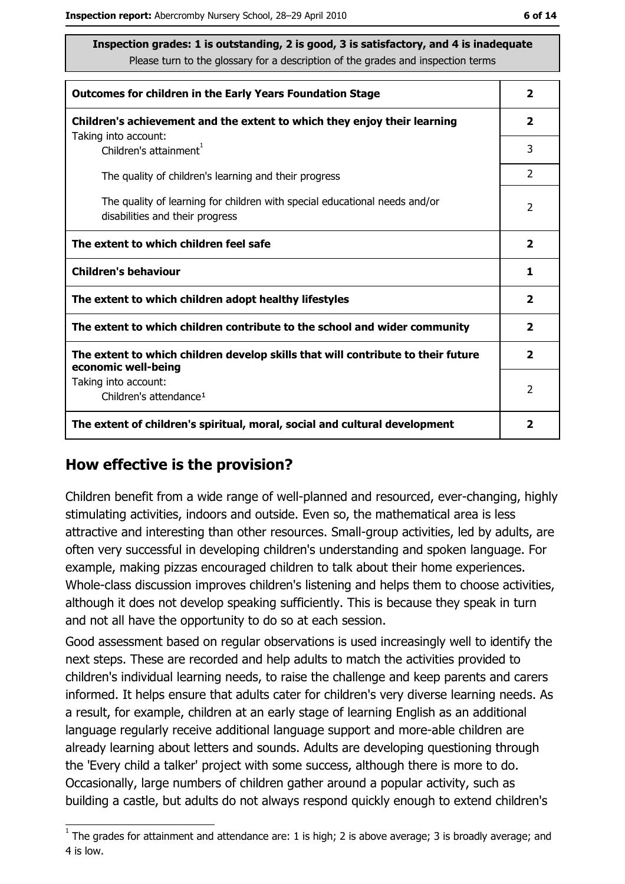| <b>Outcomes for children in the Early Years Foundation Stage</b>                                              | $\mathbf{2}$            |
|---------------------------------------------------------------------------------------------------------------|-------------------------|
| Children's achievement and the extent to which they enjoy their learning                                      | 2                       |
| Taking into account:<br>Children's attainment <sup>1</sup>                                                    | 3                       |
| The quality of children's learning and their progress                                                         | $\overline{2}$          |
| The quality of learning for children with special educational needs and/or<br>disabilities and their progress | 2                       |
| The extent to which children feel safe                                                                        |                         |
| <b>Children's behaviour</b>                                                                                   | 1                       |
|                                                                                                               |                         |
| The extent to which children adopt healthy lifestyles                                                         | $\overline{\mathbf{2}}$ |
| The extent to which children contribute to the school and wider community                                     | 2                       |
| The extent to which children develop skills that will contribute to their future                              | 2                       |
| economic well-being<br>Taking into account:<br>Children's attendance <sup>1</sup>                             | 2                       |

#### How effective is the provision?

Children benefit from a wide range of well-planned and resourced, ever-changing, highly stimulating activities, indoors and outside. Even so, the mathematical area is less attractive and interesting than other resources. Small-group activities, led by adults, are often very successful in developing children's understanding and spoken language. For example, making pizzas encouraged children to talk about their home experiences. Whole-class discussion improves children's listening and helps them to choose activities, although it does not develop speaking sufficiently. This is because they speak in turn and not all have the opportunity to do so at each session.

Good assessment based on regular observations is used increasingly well to identify the next steps. These are recorded and help adults to match the activities provided to children's individual learning needs, to raise the challenge and keep parents and carers informed. It helps ensure that adults cater for children's very diverse learning needs. As a result, for example, children at an early stage of learning English as an additional language regularly receive additional language support and more-able children are already learning about letters and sounds. Adults are developing questioning through the 'Every child a talker' project with some success, although there is more to do. Occasionally, large numbers of children gather around a popular activity, such as building a castle, but adults do not always respond quickly enough to extend children's

 $1$  The grades for attainment and attendance are: 1 is high; 2 is above average; 3 is broadly average; and 4 is low.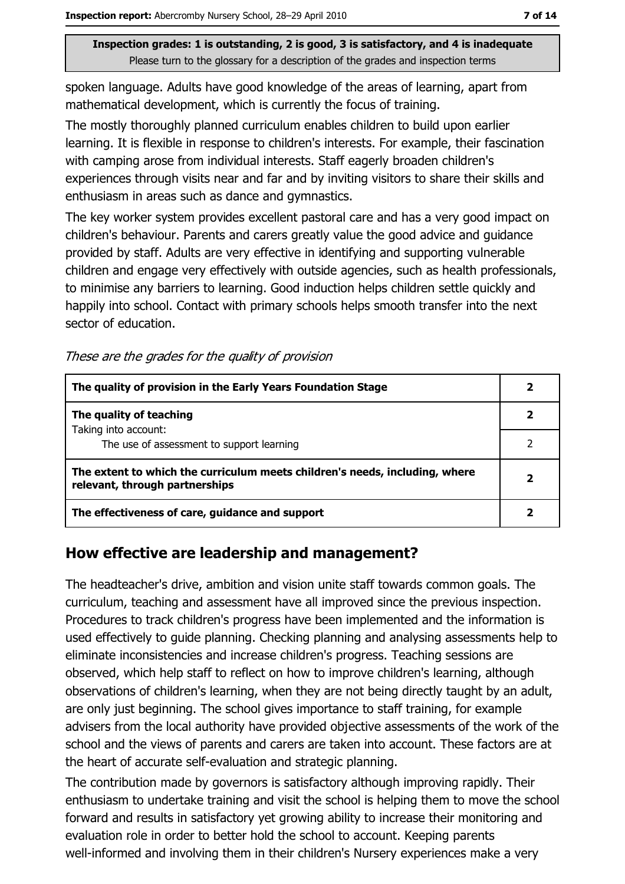spoken language. Adults have good knowledge of the areas of learning, apart from mathematical development, which is currently the focus of training.

The mostly thoroughly planned curriculum enables children to build upon earlier learning. It is flexible in response to children's interests. For example, their fascination with camping arose from individual interests. Staff eagerly broaden children's experiences through visits near and far and by inviting visitors to share their skills and enthusiasm in areas such as dance and gymnastics.

The key worker system provides excellent pastoral care and has a very good impact on children's behaviour. Parents and carers greatly value the good advice and guidance provided by staff. Adults are very effective in identifying and supporting vulnerable children and engage very effectively with outside agencies, such as health professionals, to minimise any barriers to learning. Good induction helps children settle quickly and happily into school. Contact with primary schools helps smooth transfer into the next sector of education.

These are the grades for the quality of provision

| The quality of provision in the Early Years Foundation Stage                                                  |  |
|---------------------------------------------------------------------------------------------------------------|--|
| The quality of teaching                                                                                       |  |
| Taking into account:<br>The use of assessment to support learning                                             |  |
| The extent to which the curriculum meets children's needs, including, where<br>relevant, through partnerships |  |
| The effectiveness of care, guidance and support                                                               |  |

### How effective are leadership and management?

The headteacher's drive, ambition and vision unite staff towards common goals. The curriculum, teaching and assessment have all improved since the previous inspection. Procedures to track children's progress have been implemented and the information is used effectively to quide planning. Checking planning and analysing assessments help to eliminate inconsistencies and increase children's progress. Teaching sessions are observed, which help staff to reflect on how to improve children's learning, although observations of children's learning, when they are not being directly taught by an adult, are only just beginning. The school gives importance to staff training, for example advisers from the local authority have provided objective assessments of the work of the school and the views of parents and carers are taken into account. These factors are at the heart of accurate self-evaluation and strategic planning.

The contribution made by governors is satisfactory although improving rapidly. Their enthusiasm to undertake training and visit the school is helping them to move the school forward and results in satisfactory yet growing ability to increase their monitoring and evaluation role in order to better hold the school to account. Keeping parents well-informed and involving them in their children's Nursery experiences make a very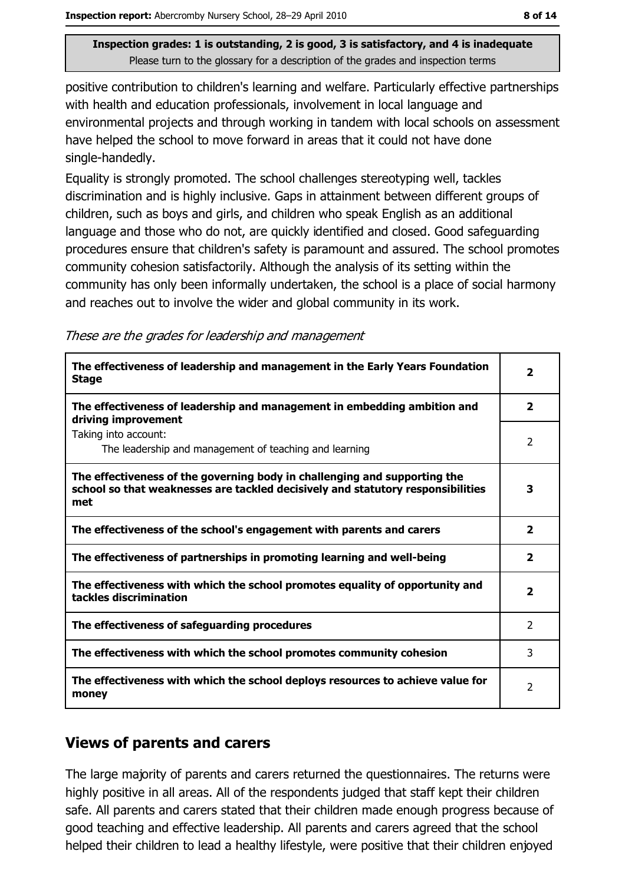positive contribution to children's learning and welfare. Particularly effective partnerships with health and education professionals, involvement in local language and environmental projects and through working in tandem with local schools on assessment have helped the school to move forward in areas that it could not have done single-handedly.

Equality is strongly promoted. The school challenges stereotyping well, tackles discrimination and is highly inclusive. Gaps in attainment between different groups of children, such as boys and girls, and children who speak English as an additional language and those who do not, are quickly identified and closed. Good safeguarding procedures ensure that children's safety is paramount and assured. The school promotes community cohesion satisfactorily. Although the analysis of its setting within the community has only been informally undertaken, the school is a place of social harmony and reaches out to involve the wider and global community in its work.

These are the grades for leadership and management

| The effectiveness of leadership and management in the Early Years Foundation<br><b>Stage</b>                                                                        |                         |
|---------------------------------------------------------------------------------------------------------------------------------------------------------------------|-------------------------|
| The effectiveness of leadership and management in embedding ambition and<br>driving improvement                                                                     | $\overline{2}$          |
| Taking into account:<br>The leadership and management of teaching and learning                                                                                      | 2                       |
| The effectiveness of the governing body in challenging and supporting the<br>school so that weaknesses are tackled decisively and statutory responsibilities<br>met | 3                       |
| The effectiveness of the school's engagement with parents and carers                                                                                                | $\overline{\mathbf{2}}$ |
| The effectiveness of partnerships in promoting learning and well-being                                                                                              | $\overline{2}$          |
| The effectiveness with which the school promotes equality of opportunity and<br>tackles discrimination                                                              | $\overline{\mathbf{2}}$ |
| The effectiveness of safeguarding procedures                                                                                                                        | $\overline{2}$          |
| The effectiveness with which the school promotes community cohesion                                                                                                 | 3                       |
| The effectiveness with which the school deploys resources to achieve value for<br>money                                                                             |                         |

#### **Views of parents and carers**

The large majority of parents and carers returned the questionnaires. The returns were highly positive in all areas. All of the respondents judged that staff kept their children safe. All parents and carers stated that their children made enough progress because of good teaching and effective leadership. All parents and carers agreed that the school helped their children to lead a healthy lifestyle, were positive that their children enjoyed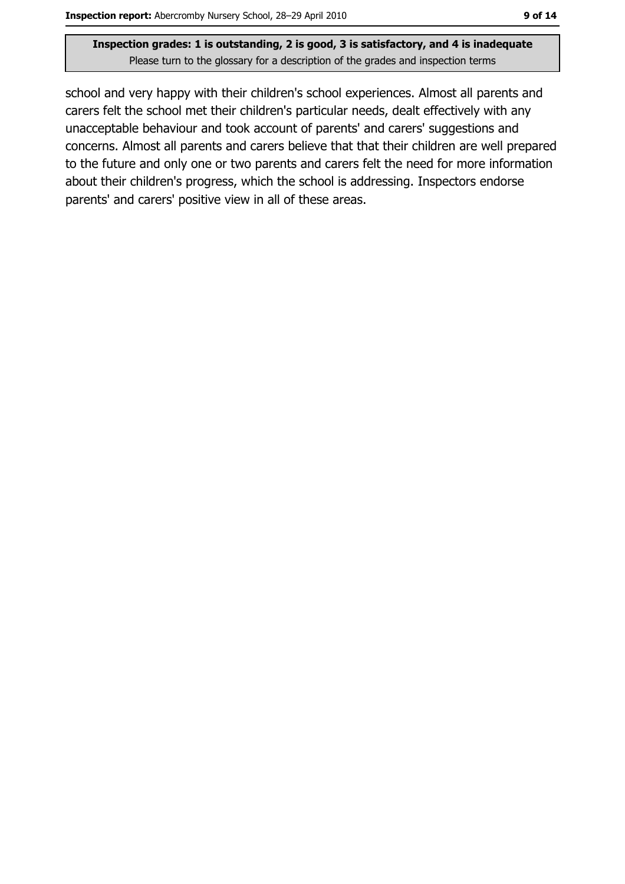school and very happy with their children's school experiences. Almost all parents and carers felt the school met their children's particular needs, dealt effectively with any unacceptable behaviour and took account of parents' and carers' suggestions and concerns. Almost all parents and carers believe that that their children are well prepared to the future and only one or two parents and carers felt the need for more information about their children's progress, which the school is addressing. Inspectors endorse parents' and carers' positive view in all of these areas.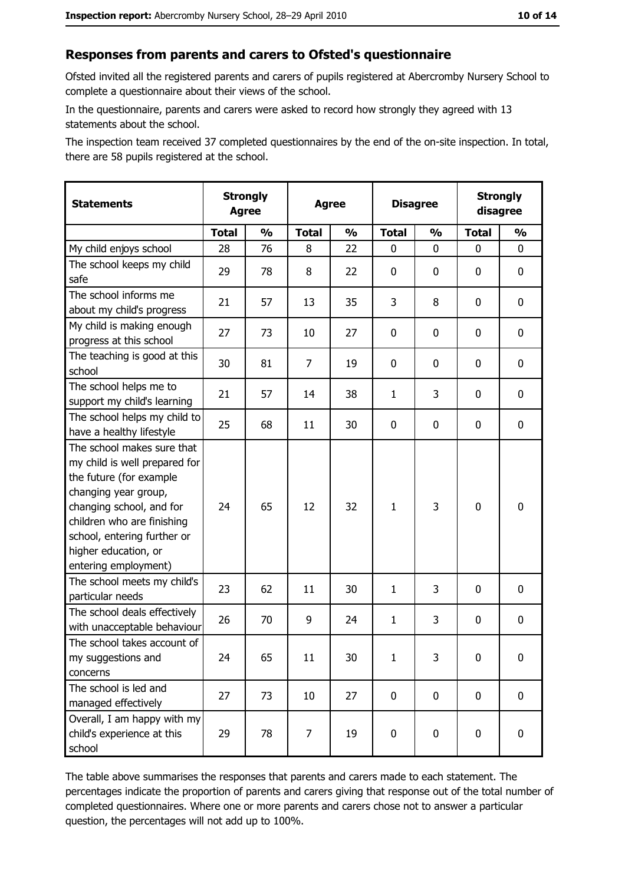#### Responses from parents and carers to Ofsted's questionnaire

Ofsted invited all the registered parents and carers of pupils registered at Abercromby Nursery School to complete a questionnaire about their views of the school.

In the questionnaire, parents and carers were asked to record how strongly they agreed with 13 statements about the school.

The inspection team received 37 completed questionnaires by the end of the on-site inspection. In total, there are 58 pupils registered at the school.

| <b>Statements</b>                                                                                                                                                                                                                                       | <b>Strongly</b><br><b>Agree</b> |               | <b>Agree</b>   |               | <b>Disagree</b> |               | <b>Strongly</b><br>disagree |               |
|---------------------------------------------------------------------------------------------------------------------------------------------------------------------------------------------------------------------------------------------------------|---------------------------------|---------------|----------------|---------------|-----------------|---------------|-----------------------------|---------------|
|                                                                                                                                                                                                                                                         | <b>Total</b>                    | $\frac{1}{2}$ | <b>Total</b>   | $\frac{0}{0}$ | <b>Total</b>    | $\frac{0}{0}$ | <b>Total</b>                | $\frac{9}{6}$ |
| My child enjoys school                                                                                                                                                                                                                                  | 28                              | 76            | 8              | 22            | 0               | 0             | $\Omega$                    | 0             |
| The school keeps my child<br>safe                                                                                                                                                                                                                       | 29                              | 78            | 8              | 22            | $\mathbf 0$     | 0             | $\mathbf{0}$                | 0             |
| The school informs me<br>about my child's progress                                                                                                                                                                                                      | 21                              | 57            | 13             | 35            | 3               | 8             | 0                           | 0             |
| My child is making enough<br>progress at this school                                                                                                                                                                                                    | 27                              | 73            | 10             | 27            | $\mathbf 0$     | 0             | 0                           | 0             |
| The teaching is good at this<br>school                                                                                                                                                                                                                  | 30                              | 81            | $\overline{7}$ | 19            | $\mathbf 0$     | 0             | 0                           | 0             |
| The school helps me to<br>support my child's learning                                                                                                                                                                                                   | 21                              | 57            | 14             | 38            | $\mathbf{1}$    | 3             | 0                           | 0             |
| The school helps my child to<br>have a healthy lifestyle                                                                                                                                                                                                | 25                              | 68            | 11             | 30            | $\mathbf 0$     | 0             | 0                           | 0             |
| The school makes sure that<br>my child is well prepared for<br>the future (for example<br>changing year group,<br>changing school, and for<br>children who are finishing<br>school, entering further or<br>higher education, or<br>entering employment) | 24                              | 65            | 12             | 32            | $\mathbf{1}$    | 3             | $\mathbf 0$                 | 0             |
| The school meets my child's<br>particular needs                                                                                                                                                                                                         | 23                              | 62            | 11             | 30            | $\mathbf{1}$    | 3             | 0                           | 0             |
| The school deals effectively<br>with unacceptable behaviour                                                                                                                                                                                             | 26                              | 70            | 9              | 24            | $\mathbf{1}$    | 3             | 0                           | 0             |
| The school takes account of<br>my suggestions and<br>concerns                                                                                                                                                                                           | 24                              | 65            | 11             | 30            | $\mathbf{1}$    | 3             | 0                           | 0             |
| The school is led and<br>managed effectively                                                                                                                                                                                                            | 27                              | 73            | 10             | 27            | $\mathbf 0$     | 0             | 0                           | $\mathbf 0$   |
| Overall, I am happy with my<br>child's experience at this<br>school                                                                                                                                                                                     | 29                              | 78            | 7              | 19            | $\mathbf 0$     | 0             | $\mathbf 0$                 | 0             |

The table above summarises the responses that parents and carers made to each statement. The percentages indicate the proportion of parents and carers giving that response out of the total number of completed questionnaires. Where one or more parents and carers chose not to answer a particular question, the percentages will not add up to 100%.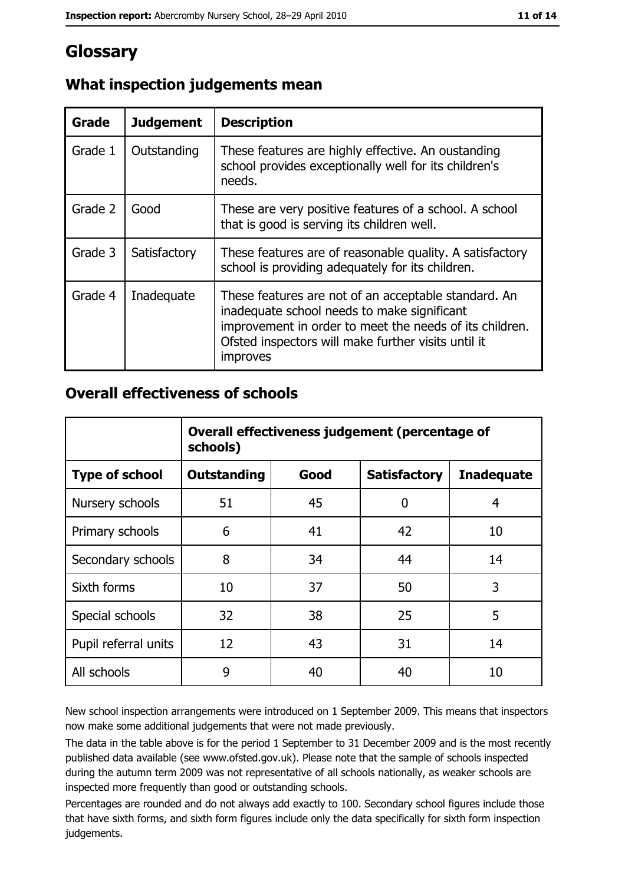# Glossary

| Grade   | <b>Judgement</b> | <b>Description</b>                                                                                                                                                                                                                |
|---------|------------------|-----------------------------------------------------------------------------------------------------------------------------------------------------------------------------------------------------------------------------------|
| Grade 1 | Outstanding      | These features are highly effective. An oustanding<br>school provides exceptionally well for its children's<br>needs.                                                                                                             |
| Grade 2 | Good             | These are very positive features of a school. A school<br>that is good is serving its children well.                                                                                                                              |
| Grade 3 | Satisfactory     | These features are of reasonable quality. A satisfactory<br>school is providing adequately for its children.                                                                                                                      |
| Grade 4 | Inadequate       | These features are not of an acceptable standard. An<br>inadequate school needs to make significant<br>improvement in order to meet the needs of its children.<br>Ofsted inspectors will make further visits until it<br>improves |

## What inspection judgements mean

#### **Overall effectiveness of schools**

|                       | Overall effectiveness judgement (percentage of<br>schools) |      |                     |                   |
|-----------------------|------------------------------------------------------------|------|---------------------|-------------------|
| <b>Type of school</b> | <b>Outstanding</b>                                         | Good | <b>Satisfactory</b> | <b>Inadequate</b> |
| Nursery schools       | 51                                                         | 45   | 0                   | 4                 |
| Primary schools       | 6                                                          | 41   | 42                  | 10                |
| Secondary schools     | 8                                                          | 34   | 44                  | 14                |
| Sixth forms           | 10                                                         | 37   | 50                  | 3                 |
| Special schools       | 32                                                         | 38   | 25                  | 5                 |
| Pupil referral units  | 12                                                         | 43   | 31                  | 14                |
| All schools           | 9                                                          | 40   | 40                  | 10                |

New school inspection arrangements were introduced on 1 September 2009. This means that inspectors now make some additional judgements that were not made previously.

The data in the table above is for the period 1 September to 31 December 2009 and is the most recently published data available (see www.ofsted.gov.uk). Please note that the sample of schools inspected during the autumn term 2009 was not representative of all schools nationally, as weaker schools are inspected more frequently than good or outstanding schools.

Percentages are rounded and do not always add exactly to 100. Secondary school figures include those that have sixth forms, and sixth form figures include only the data specifically for sixth form inspection judgements.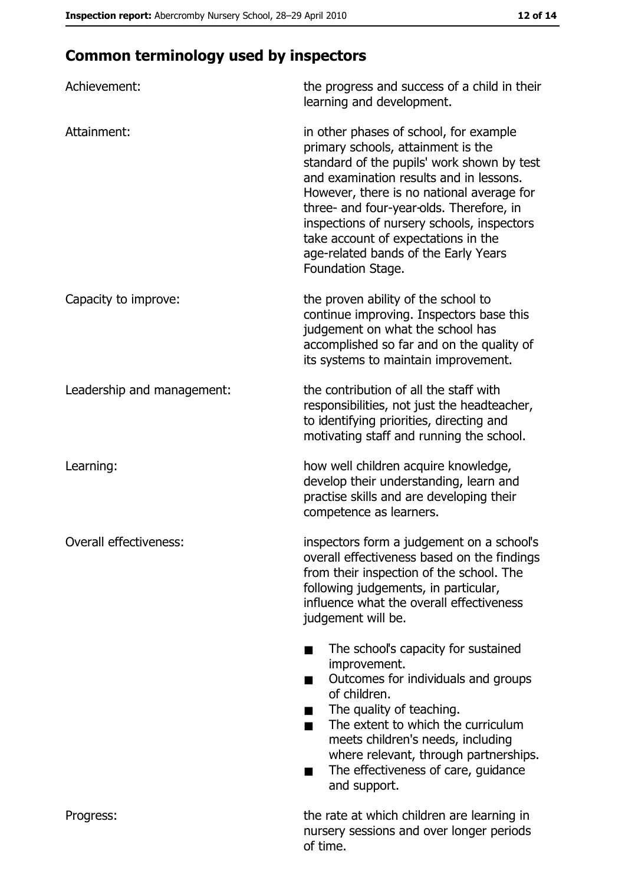## **Common terminology used by inspectors**

| Achievement:               | the progress and success of a child in their<br>learning and development.                                                                                                                                                                                                                                                                                                                                        |
|----------------------------|------------------------------------------------------------------------------------------------------------------------------------------------------------------------------------------------------------------------------------------------------------------------------------------------------------------------------------------------------------------------------------------------------------------|
| Attainment:                | in other phases of school, for example<br>primary schools, attainment is the<br>standard of the pupils' work shown by test<br>and examination results and in lessons.<br>However, there is no national average for<br>three- and four-year-olds. Therefore, in<br>inspections of nursery schools, inspectors<br>take account of expectations in the<br>age-related bands of the Early Years<br>Foundation Stage. |
| Capacity to improve:       | the proven ability of the school to<br>continue improving. Inspectors base this<br>judgement on what the school has<br>accomplished so far and on the quality of<br>its systems to maintain improvement.                                                                                                                                                                                                         |
| Leadership and management: | the contribution of all the staff with<br>responsibilities, not just the headteacher,<br>to identifying priorities, directing and<br>motivating staff and running the school.                                                                                                                                                                                                                                    |
| Learning:                  | how well children acquire knowledge,<br>develop their understanding, learn and<br>practise skills and are developing their<br>competence as learners.                                                                                                                                                                                                                                                            |
| Overall effectiveness:     | inspectors form a judgement on a school's<br>overall effectiveness based on the findings<br>from their inspection of the school. The<br>following judgements, in particular,<br>influence what the overall effectiveness<br>judgement will be.                                                                                                                                                                   |
|                            | The school's capacity for sustained<br>improvement.<br>Outcomes for individuals and groups<br>of children.<br>The quality of teaching.<br>The extent to which the curriculum<br>■<br>meets children's needs, including<br>where relevant, through partnerships.<br>The effectiveness of care, guidance<br>and support.                                                                                           |
| Progress:                  | the rate at which children are learning in<br>nursery sessions and over longer periods<br>of time.                                                                                                                                                                                                                                                                                                               |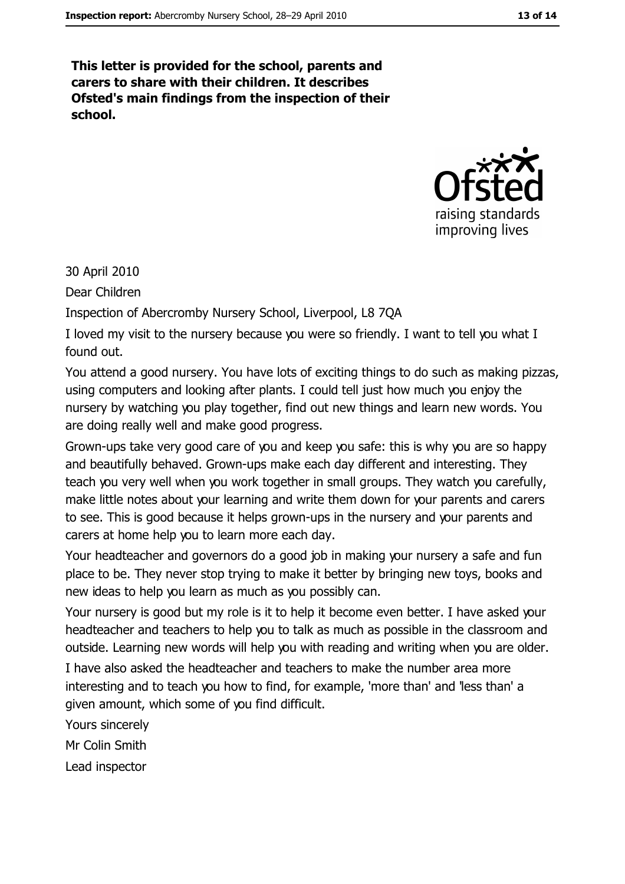This letter is provided for the school, parents and carers to share with their children. It describes Ofsted's main findings from the inspection of their school.



30 April 2010

Dear Children

Inspection of Abercromby Nursery School, Liverpool, L8 7QA

I loved my visit to the nursery because you were so friendly. I want to tell you what I found out.

You attend a good nursery. You have lots of exciting things to do such as making pizzas, using computers and looking after plants. I could tell just how much you enjoy the nursery by watching you play together, find out new things and learn new words. You are doing really well and make good progress.

Grown-ups take very good care of you and keep you safe: this is why you are so happy and beautifully behaved. Grown-ups make each day different and interesting. They teach you very well when you work together in small groups. They watch you carefully, make little notes about your learning and write them down for your parents and carers to see. This is good because it helps grown-ups in the nursery and your parents and carers at home help you to learn more each day.

Your headteacher and governors do a good job in making your nursery a safe and fun place to be. They never stop trying to make it better by bringing new toys, books and new ideas to help you learn as much as you possibly can.

Your nursery is good but my role is it to help it become even better. I have asked your headteacher and teachers to help you to talk as much as possible in the classroom and outside. Learning new words will help you with reading and writing when you are older.

I have also asked the headteacher and teachers to make the number area more interesting and to teach you how to find, for example, 'more than' and 'less than' a given amount, which some of you find difficult.

Yours sincerely Mr Colin Smith

Lead inspector